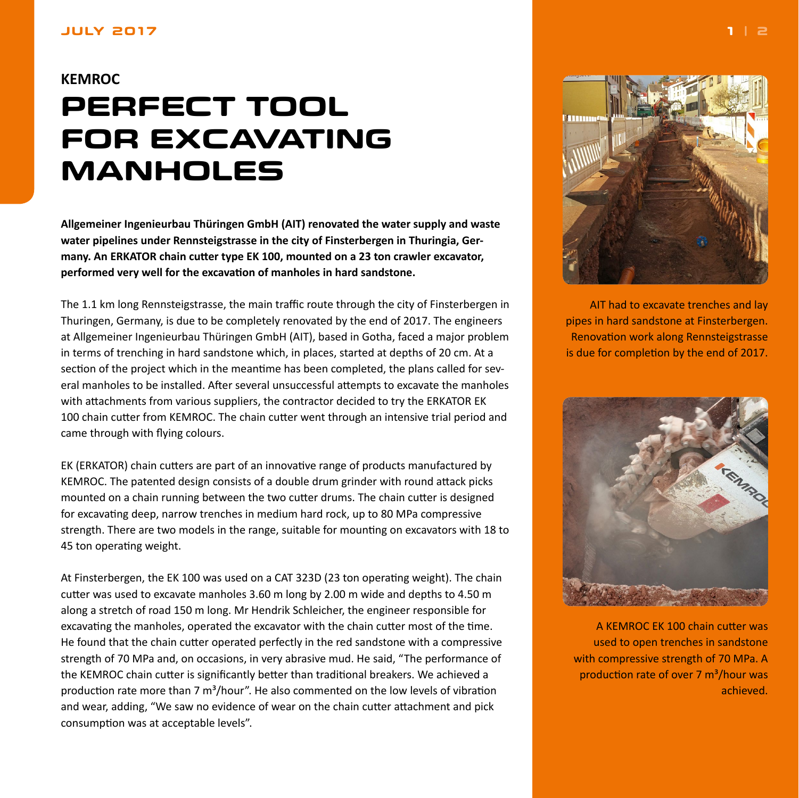## <span id="page-0-0"></span>**JULY 2017**

## **KEMROC PERFECT TOOL FOR EXCAVATING MANHOLES**

**Allgemeiner Ingenieurbau Thüringen GmbH (AIT) renovated the water supply and waste water pipelines under Rennsteigstrasse in the city of Finsterbergen in Thuringia, Germany. An ERKATOR chain cutter type EK 100, mounted on a 23 ton crawler excavator, performed very well for the excavation of manholes in hard sandstone.**

The 1.1 km long Rennsteigstrasse, the main traffic route through the city of Finsterbergen in Thuringen, Germany, is due to be completely renovated by the end of 2017. The engineers at Allgemeiner Ingenieurbau Thüringen GmbH (AIT), based in Gotha, faced a major problem in terms of trenching in hard sandstone which, in places, started at depths of 20 cm. At a section of the project which in the meantime has been completed, the plans called for several manholes to be installed. After several unsuccessful attempts to excavate the manholes with attachments from various suppliers, the contractor decided to try the ERKATOR EK 100 chain cutter from KEMROC. The chain cutter went through an intensive trial period and came through with flying colours.

EK (ERKATOR) chain cutters are part of an innovative range of products manufactured by KEMROC. The patented design consists of a double drum grinder with round attack picks mounted on a chain running between the two cutter drums. The chain cutter is designed for excavating deep, narrow trenches in medium hard rock, up to 80 MPa compressive strength. There are two models in the range, suitable for mounting on excavators with 18 to 45 ton operating weight.

At Finsterbergen, the EK 100 was used on a CAT 323D (23 ton operating weight). The chain cutter was used to excavate manholes 3.60 m long by 2.00 m wide and depths to 4.50 m along a stretch of road 150 m long. Mr Hendrik Schleicher, the engineer responsible for excavating the manholes, operated the excavator with the chain cutter most of the time. He found that the chain cutter operated perfectly in the red sandstone with a compressive strength of 70 MPa and, on occasions, in very abrasive mud. He said, "The performance of the KEMROC chain cutter is significantly better than traditional breakers. We achieved a production rate more than 7  $m^3/h$ our". He also commented on the low levels of vibration and wear, adding, "We saw no evidence of wear on the chain cutter attachment and pick consumption was at acceptable levels".



AIT had to excavate trenches and lay pipes in hard sandstone at Finsterbergen. Renovation work along Rennsteigstrasse is due for completion by the end of 2017.



A KEMROC EK 100 chain cutter was used to open trenches in sandstone with compressive strength of 70 MPa. A production rate of over 7 m<sup>3</sup>/hour was achieved.